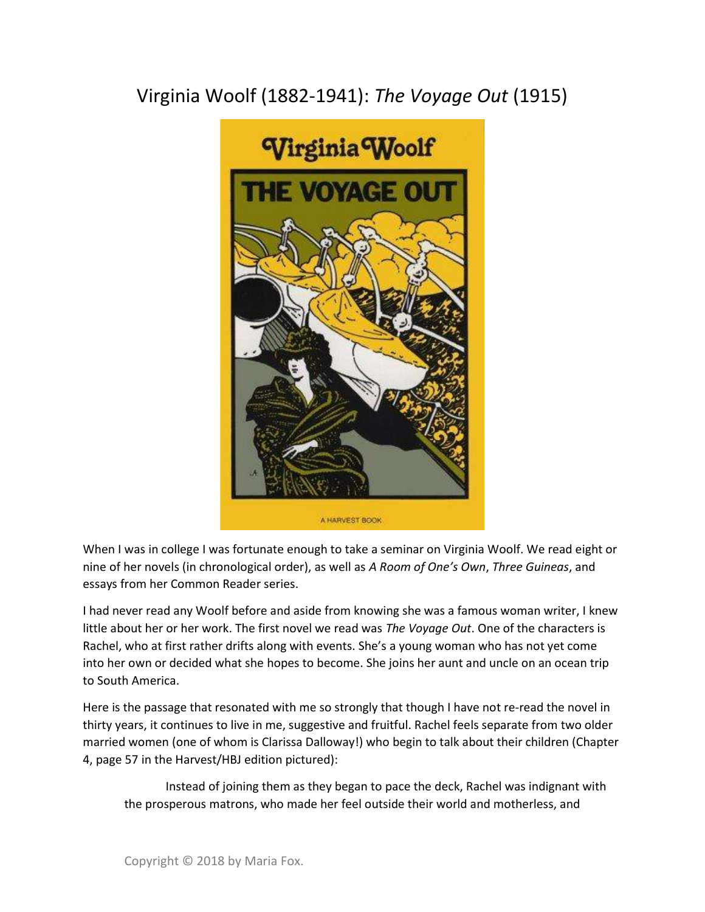## Virginia Woolf (1882-1941): The Voyage Out (1915)



When I was in college I was fortunate enough to take a seminar on Virginia Woolf. We read eight or nine of her novels (in chronological order), as well as A Room of One's Own, Three Guineas, and essays from her Common Reader series.

I had never read any Woolf before and aside from knowing she was a famous woman writer, I knew little about her or her work. The first novel we read was The Voyage Out. One of the characters is Rachel, who at first rather drifts along with events. She's a young woman who has not yet come into her own or decided what she hopes to become. She joins her aunt and uncle on an ocean trip to South America.

Here is the passage that resonated with me so strongly that though I have not re-read the novel in thirty years, it continues to live in me, suggestive and fruitful. Rachel feels separate from two older married women (one of whom is Clarissa Dalloway!) who begin to talk about their children (Chapter 4, page 57 in the Harvest/HBJ edition pictured):

 Instead of joining them as they began to pace the deck, Rachel was indignant with the prosperous matrons, who made her feel outside their world and motherless, and